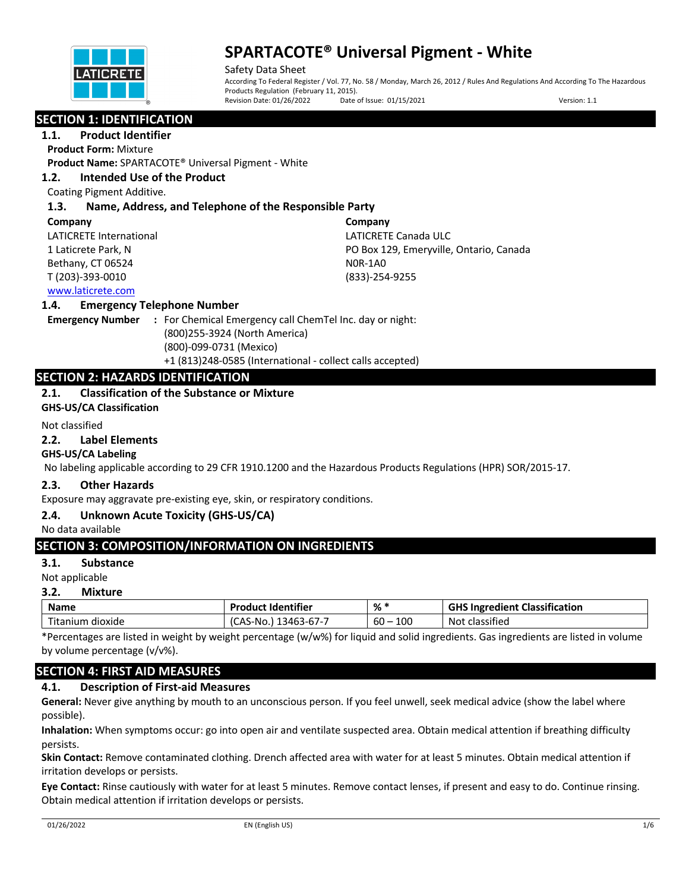

Safety Data Sheet According To Federal Register / Vol. 77, No. 58 / Monday, March 26, 2012 / Rules And Regulations And According To The Hazardous Products Regulation (February 11, 2015).<br>Revision Date: 01/26/2022 Date Date of Issue: 01/15/2021 Version: 1.1

## **SECTION 1: IDENTIFICATION**

**1.1. Product Identifier**

**Product Form:** Mixture

**Product Name:** SPARTACOTE® Universal Pigment - White

### **1.2. Intended Use of the Product**

Coating Pigment Additive.

### **1.3. Name, Address, and Telephone of the Responsible Party**

#### **Company**

LATICRETE International 1 Laticrete Park, N Bethany, CT 06524 T (203)-393-0010

**Company** LATICRETE Canada ULC PO Box 129, Emeryville, Ontario, Canada N0R-1A0 (833)-254-9255

### www.laticrete.com

#### **1.4. Emergency Telephone Number**

**Emergency Number :** For Chemical Emergency call ChemTel Inc. day or night: (800)255-3924 (North America) (800)-099-0731 (Mexico) +1 (813)248-0585 (International - collect calls accepted)

## **SECTION 2: HAZARDS IDENTIFICATION**

## **2.1. Classification of the Substance or Mixture**

**GHS-US/CA Classification**

#### Not classified

#### **2.2. Label Elements**

#### **GHS-US/CA Labeling**

No labeling applicable according to 29 CFR 1910.1200 and the Hazardous Products Regulations (HPR) SOR/2015-17.

#### **2.3. Other Hazards**

Exposure may aggravate pre-existing eye, skin, or respiratory conditions.

#### **2.4. Unknown Acute Toxicity (GHS-US/CA)**

No data available

## **SECTION 3: COMPOSITION/INFORMATION ON INGREDIENTS**

#### **3.1. Substance**

Not applicable

#### **3.2. Mixture**

| <b>Name</b>         | <br>Dro<br>duct Identifier              | %             | $\cdot$ .<br>GHS I<br>Classification<br>, Ingredient <b>C</b> |  |
|---------------------|-----------------------------------------|---------------|---------------------------------------------------------------|--|
| Titanium<br>dioxide | $- - -$<br>-No.<br>346.<br>CAS<br>3-D/- | 100<br>$60 -$ | .<br>Not<br>classified                                        |  |

\*Percentages are listed in weight by weight percentage (w/w%) for liquid and solid ingredients. Gas ingredients are listed in volume by volume percentage (v/v%).

## **SECTION 4: FIRST AID MEASURES**

### **4.1. Description of First-aid Measures**

**General:** Never give anything by mouth to an unconscious person. If you feel unwell, seek medical advice (show the label where possible).

**Inhalation:** When symptoms occur: go into open air and ventilate suspected area. Obtain medical attention if breathing difficulty persists.

**Skin Contact:** Remove contaminated clothing. Drench affected area with water for at least 5 minutes. Obtain medical attention if irritation develops or persists.

**Eye Contact:** Rinse cautiously with water for at least 5 minutes. Remove contact lenses, if present and easy to do. Continue rinsing. Obtain medical attention if irritation develops or persists.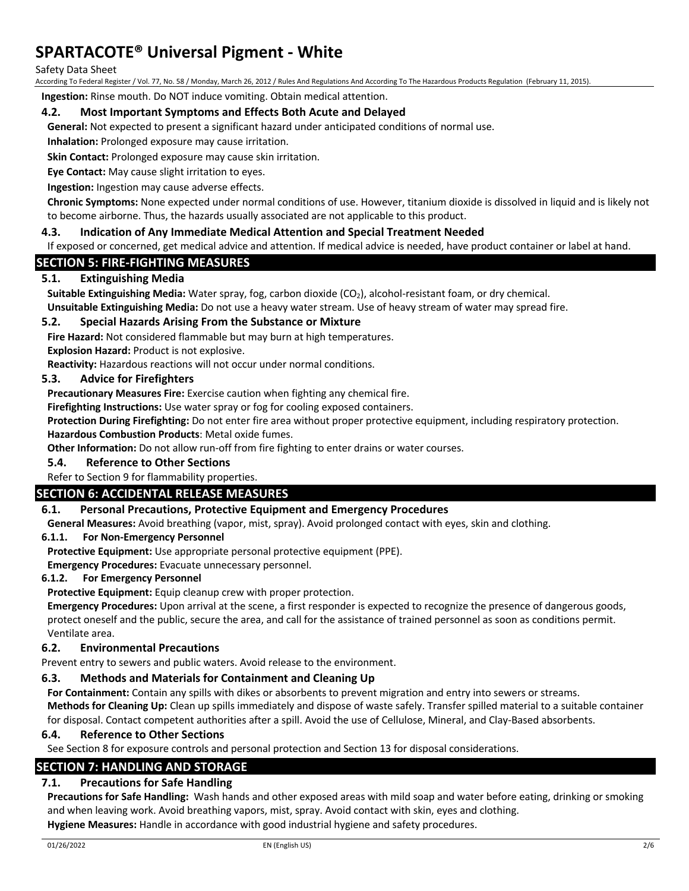#### Safety Data Sheet

According To Federal Register / Vol. 77, No. 58 / Monday, March 26, 2012 / Rules And Regulations And According To The Hazardous Products Regulation (February 11, 2015).

**Ingestion:** Rinse mouth. Do NOT induce vomiting. Obtain medical attention.

#### **4.2. Most Important Symptoms and Effects Both Acute and Delayed**

**General:** Not expected to present a significant hazard under anticipated conditions of normal use.

**Inhalation:** Prolonged exposure may cause irritation.

**Skin Contact:** Prolonged exposure may cause skin irritation.

**Eye Contact:** May cause slight irritation to eyes.

**Ingestion:** Ingestion may cause adverse effects.

**Chronic Symptoms:** None expected under normal conditions of use. However, titanium dioxide is dissolved in liquid and is likely not to become airborne. Thus, the hazards usually associated are not applicable to this product.

### **4.3. Indication of Any Immediate Medical Attention and Special Treatment Needed**

If exposed or concerned, get medical advice and attention. If medical advice is needed, have product container or label at hand.

## **SECTION 5: FIRE-FIGHTING MEASURES**

### **5.1. Extinguishing Media**

**Suitable Extinguishing Media:** Water spray, fog, carbon dioxide (CO<sub>2</sub>), alcohol-resistant foam, or dry chemical.

**Unsuitable Extinguishing Media:** Do not use a heavy water stream. Use of heavy stream of water may spread fire.

### **5.2. Special Hazards Arising From the Substance or Mixture**

**Fire Hazard:** Not considered flammable but may burn at high temperatures.

**Explosion Hazard:** Product is not explosive.

**Reactivity:** Hazardous reactions will not occur under normal conditions.

#### **5.3. Advice for Firefighters**

**Precautionary Measures Fire:** Exercise caution when fighting any chemical fire.

**Firefighting Instructions:** Use water spray or fog for cooling exposed containers.

**Protection During Firefighting:** Do not enter fire area without proper protective equipment, including respiratory protection. **Hazardous Combustion Products**: Metal oxide fumes.

**Other Information:** Do not allow run-off from fire fighting to enter drains or water courses.

### **5.4. Reference to Other Sections**

Refer to Section 9 for flammability properties.

#### **SECTION 6: ACCIDENTAL RELEASE MEASURES**

#### **6.1. Personal Precautions, Protective Equipment and Emergency Procedures**

**General Measures:** Avoid breathing (vapor, mist, spray). Avoid prolonged contact with eyes, skin and clothing.

#### **6.1.1. For Non-Emergency Personnel**

**Protective Equipment:** Use appropriate personal protective equipment (PPE).

**Emergency Procedures:** Evacuate unnecessary personnel.

#### **6.1.2. For Emergency Personnel**

**Protective Equipment:** Equip cleanup crew with proper protection.

**Emergency Procedures:** Upon arrival at the scene, a first responder is expected to recognize the presence of dangerous goods, protect oneself and the public, secure the area, and call for the assistance of trained personnel as soon as conditions permit. Ventilate area.

#### **6.2. Environmental Precautions**

Prevent entry to sewers and public waters. Avoid release to the environment.

#### **6.3. Methods and Materials for Containment and Cleaning Up**

**For Containment:** Contain any spills with dikes or absorbents to prevent migration and entry into sewers or streams.

**Methods for Cleaning Up:** Clean up spills immediately and dispose of waste safely. Transfer spilled material to a suitable container for disposal. Contact competent authorities after a spill. Avoid the use of Cellulose, Mineral, and Clay-Based absorbents.

#### **6.4. Reference to Other Sections**

See Section 8 for exposure controls and personal protection and Section 13 for disposal considerations.

#### **SECTION 7: HANDLING AND STORAGE**

### **7.1. Precautions for Safe Handling**

**Precautions for Safe Handling:** Wash hands and other exposed areas with mild soap and water before eating, drinking or smoking and when leaving work. Avoid breathing vapors, mist, spray. Avoid contact with skin, eyes and clothing. **Hygiene Measures:** Handle in accordance with good industrial hygiene and safety procedures.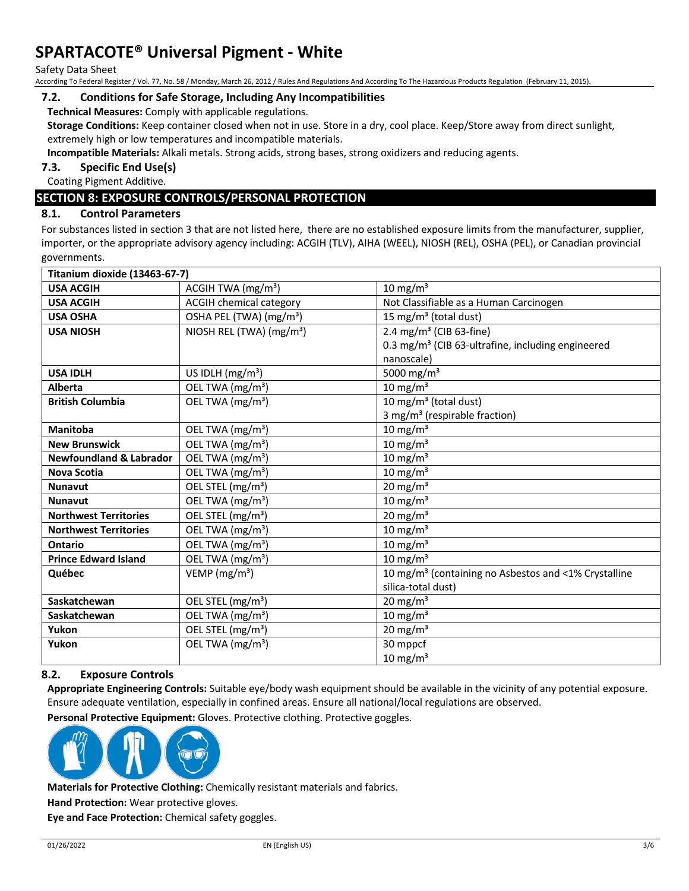Safety Data Sheet

According To Federal Register / Vol. 77, No. 58 / Monday, March 26, 2012 / Rules And Regulations And According To The Hazardous Products Regulation (February 11, 2015).

#### **7.2. Conditions for Safe Storage, Including Any Incompatibilities**

**Technical Measures:** Comply with applicable regulations.

**Storage Conditions:** Keep container closed when not in use. Store in a dry, cool place. Keep/Store away from direct sunlight, extremely high or low temperatures and incompatible materials.

**Incompatible Materials:** Alkali metals. Strong acids, strong bases, strong oxidizers and reducing agents.

**7.3. Specific End Use(s)**

Coating Pigment Additive.

# **SECTION 8: EXPOSURE CONTROLS/PERSONAL PROTECTION**

#### **8.1. Control Parameters**

For substances listed in section 3 that are not listed here, there are no established exposure limits from the manufacturer, supplier, importer, or the appropriate advisory agency including: ACGIH (TLV), AIHA (WEEL), NIOSH (REL), OSHA (PEL), or Canadian provincial governments.

| Titanium dioxide (13463-67-7)      |                                      |                                                                  |
|------------------------------------|--------------------------------------|------------------------------------------------------------------|
| <b>USA ACGIH</b>                   | ACGIH TWA (mg/m <sup>3</sup> )       | 10 mg/m $3$                                                      |
| <b>USA ACGIH</b>                   | <b>ACGIH chemical category</b>       | Not Classifiable as a Human Carcinogen                           |
| <b>USA OSHA</b>                    | OSHA PEL (TWA) (mg/m <sup>3</sup> )  | 15 mg/m <sup>3</sup> (total dust)                                |
| <b>USA NIOSH</b>                   | NIOSH REL (TWA) (mg/m <sup>3</sup> ) | 2.4 mg/m <sup>3</sup> (CIB 63-fine)                              |
|                                    |                                      | 0.3 mg/m <sup>3</sup> (CIB 63-ultrafine, including engineered    |
|                                    |                                      | nanoscale)                                                       |
| <b>USA IDLH</b>                    | US IDLH (mg/m <sup>3</sup> )         | 5000 mg/m <sup>3</sup>                                           |
| Alberta                            | OEL TWA (mg/m <sup>3</sup> )         | 10 mg/m $3$                                                      |
| <b>British Columbia</b>            | OEL TWA (mg/m <sup>3</sup> )         | 10 mg/m <sup>3</sup> (total dust)                                |
|                                    |                                      | 3 mg/m <sup>3</sup> (respirable fraction)                        |
| Manitoba                           | OEL TWA (mg/m <sup>3</sup> )         | 10 mg/m $3$                                                      |
| <b>New Brunswick</b>               | OEL TWA (mg/m <sup>3</sup> )         | 10 mg/m $3$                                                      |
| <b>Newfoundland &amp; Labrador</b> | OEL TWA (mg/m <sup>3</sup> )         | $10 \text{ mg/m}^3$                                              |
| <b>Nova Scotia</b>                 | OEL TWA (mg/m <sup>3</sup> )         | 10 mg/m $3$                                                      |
| <b>Nunavut</b>                     | OEL STEL (mg/m <sup>3</sup> )        | 20 mg/m $3$                                                      |
| <b>Nunavut</b>                     | OEL TWA (mg/m <sup>3</sup> )         | 10 mg/m $3$                                                      |
| <b>Northwest Territories</b>       | OEL STEL (mg/m <sup>3</sup> )        | 20 mg/m $3$                                                      |
| <b>Northwest Territories</b>       | OEL TWA (mg/m <sup>3</sup> )         | 10 mg/m $3$                                                      |
| <b>Ontario</b>                     | OEL TWA (mg/m <sup>3</sup> )         | 10 mg/m $3$                                                      |
| <b>Prince Edward Island</b>        | OEL TWA (mg/m <sup>3</sup> )         | 10 mg/m $3$                                                      |
| Québec                             | VEMP ( $mg/m3$ )                     | 10 mg/m <sup>3</sup> (containing no Asbestos and <1% Crystalline |
|                                    |                                      | silica-total dust)                                               |
| Saskatchewan                       | OEL STEL (mg/m <sup>3</sup> )        | 20 mg/m $3$                                                      |
| Saskatchewan                       | OEL TWA (mg/m <sup>3</sup> )         | 10 mg/m $3$                                                      |
| Yukon                              | OEL STEL (mg/m <sup>3</sup> )        | $20 \text{ mg/m}^3$                                              |
| Yukon                              | OEL TWA (mg/m <sup>3</sup> )         | 30 mppcf                                                         |
|                                    |                                      | 10 mg/m $3$                                                      |

#### **8.2. Exposure Controls**

**Appropriate Engineering Controls:** Suitable eye/body wash equipment should be available in the vicinity of any potential exposure. Ensure adequate ventilation, especially in confined areas. Ensure all national/local regulations are observed.

**Personal Protective Equipment:** Gloves. Protective clothing. Protective goggles.



**Materials for Protective Clothing:** Chemically resistant materials and fabrics.

**Hand Protection:** Wear protective gloves.

**Eye and Face Protection:** Chemical safety goggles.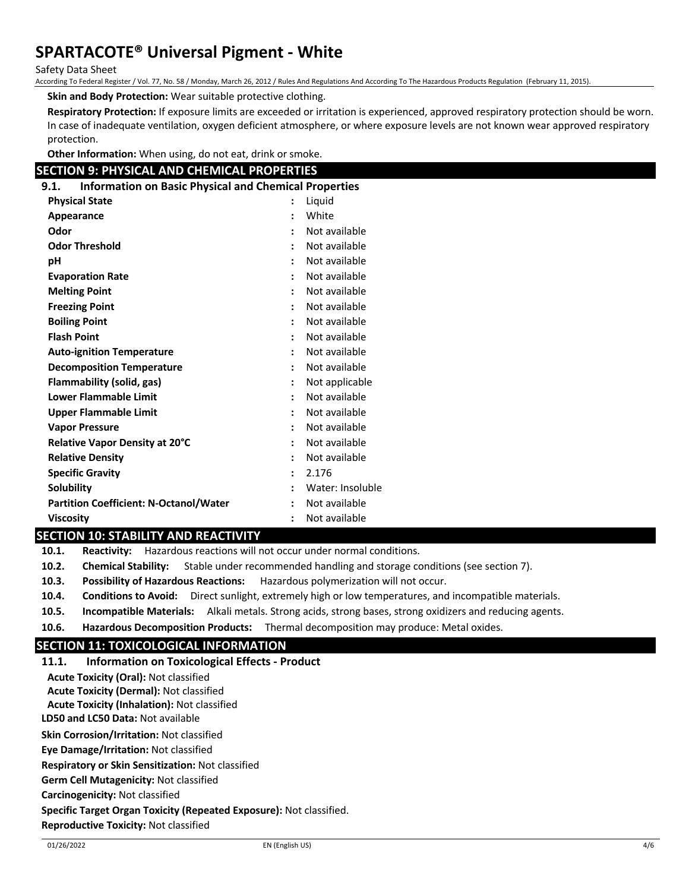Safety Data Sheet

According To Federal Register / Vol. 77, No. 58 / Monday, March 26, 2012 / Rules And Regulations And According To The Hazardous Products Regulation (February 11, 2015).

**Skin and Body Protection:** Wear suitable protective clothing.

**Respiratory Protection:** If exposure limits are exceeded or irritation is experienced, approved respiratory protection should be worn. In case of inadequate ventilation, oxygen deficient atmosphere, or where exposure levels are not known wear approved respiratory protection.

**Other Information:** When using, do not eat, drink or smoke.

## **SECTION 9: PHYSICAL AND CHEMICAL PROPERTIES**

| <b>SECTION 9: PHYSICAL AND CHEMICAL PROPERTIES</b>                   |                      |                  |
|----------------------------------------------------------------------|----------------------|------------------|
| <b>Information on Basic Physical and Chemical Properties</b><br>9.1. |                      |                  |
| <b>Physical State</b>                                                |                      | Liquid           |
| Appearance                                                           |                      | White            |
| Odor                                                                 |                      | Not available    |
| <b>Odor Threshold</b>                                                |                      | Not available    |
| рH                                                                   |                      | Not available    |
| <b>Evaporation Rate</b>                                              |                      | Not available    |
| <b>Melting Point</b>                                                 |                      | Not available    |
| <b>Freezing Point</b>                                                |                      | Not available    |
| <b>Boiling Point</b>                                                 |                      | Not available    |
| <b>Flash Point</b>                                                   |                      | Not available    |
| <b>Auto-ignition Temperature</b>                                     | $\ddot{\phantom{a}}$ | Not available    |
| <b>Decomposition Temperature</b>                                     |                      | Not available    |
| Flammability (solid, gas)                                            |                      | Not applicable   |
| <b>Lower Flammable Limit</b>                                         |                      | Not available    |
| <b>Upper Flammable Limit</b>                                         |                      | Not available    |
| <b>Vapor Pressure</b>                                                |                      | Not available    |
| Relative Vapor Density at 20°C                                       |                      | Not available    |
| <b>Relative Density</b>                                              | $\ddot{\phantom{a}}$ | Not available    |
| <b>Specific Gravity</b>                                              | $\ddot{\phantom{a}}$ | 2.176            |
| <b>Solubility</b>                                                    |                      | Water: Insoluble |
| <b>Partition Coefficient: N-Octanol/Water</b>                        |                      | Not available    |
| <b>Viscosity</b>                                                     |                      | Not available    |

## **SECTION 10: STABILITY AND REACTIVITY**

**10.1. Reactivity:** Hazardous reactions will not occur under normal conditions.

**10.2. Chemical Stability:** Stable under recommended handling and storage conditions (see section 7).

**10.3. Possibility of Hazardous Reactions:** Hazardous polymerization will not occur.

- **10.4. Conditions to Avoid:** Direct sunlight, extremely high or low temperatures, and incompatible materials.
- **10.5. Incompatible Materials:** Alkali metals. Strong acids, strong bases, strong oxidizers and reducing agents.
- **10.6. Hazardous Decomposition Products:** Thermal decomposition may produce: Metal oxides.

## **SECTION 11: TOXICOLOGICAL INFORMATION**

| <b>Information on Toxicological Effects - Product</b><br>11.1.      |  |  |  |
|---------------------------------------------------------------------|--|--|--|
| <b>Acute Toxicity (Oral): Not classified</b>                        |  |  |  |
| <b>Acute Toxicity (Dermal): Not classified</b>                      |  |  |  |
| <b>Acute Toxicity (Inhalation): Not classified</b>                  |  |  |  |
| LD50 and LC50 Data: Not available                                   |  |  |  |
| <b>Skin Corrosion/Irritation: Not classified</b>                    |  |  |  |
| <b>Eve Damage/Irritation: Not classified</b>                        |  |  |  |
| <b>Respiratory or Skin Sensitization: Not classified</b>            |  |  |  |
| <b>Germ Cell Mutagenicity: Not classified</b>                       |  |  |  |
| Carcinogenicity: Not classified                                     |  |  |  |
| Specific Target Organ Toxicity (Repeated Exposure): Not classified. |  |  |  |
| <b>Reproductive Toxicity: Not classified</b>                        |  |  |  |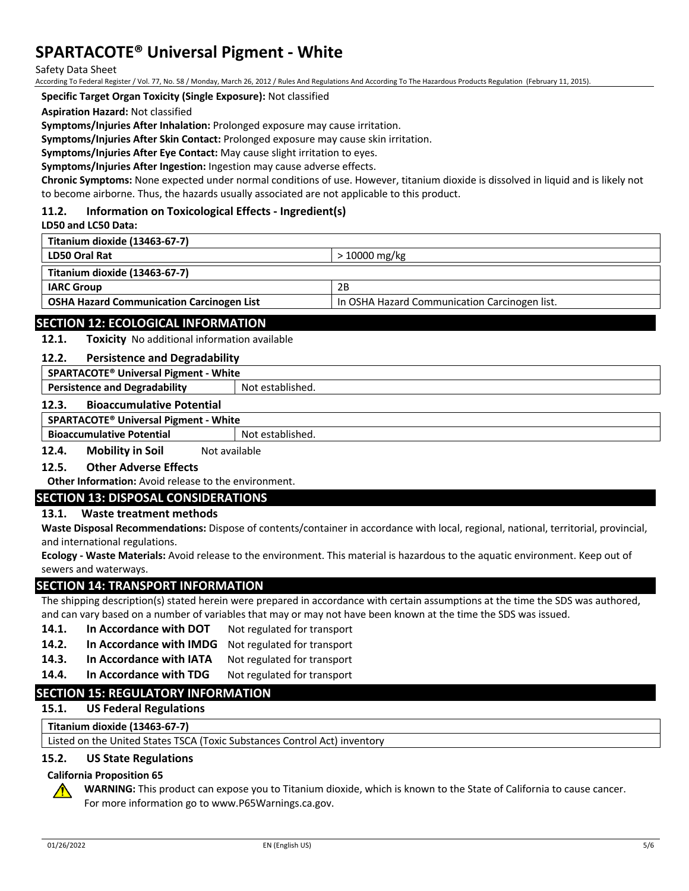Safety Data Sheet

According To Federal Register / Vol. 77, No. 58 / Monday, March 26, 2012 / Rules And Regulations And According To The Hazardous Products Regulation (February 11, 2015).

**Specific Target Organ Toxicity (Single Exposure):** Not classified

**Aspiration Hazard:** Not classified

**Symptoms/Injuries After Inhalation:** Prolonged exposure may cause irritation.

**Symptoms/Injuries After Skin Contact:** Prolonged exposure may cause skin irritation.

**Symptoms/Injuries After Eye Contact:** May cause slight irritation to eyes.

**Symptoms/Injuries After Ingestion:** Ingestion may cause adverse effects.

**Chronic Symptoms:** None expected under normal conditions of use. However, titanium dioxide is dissolved in liquid and is likely not to become airborne. Thus, the hazards usually associated are not applicable to this product.

#### **11.2. Information on Toxicological Effects - Ingredient(s)**

#### **LD50 and LC50 Data:**

| Titanium dioxide (13463-67-7)                    |                                               |
|--------------------------------------------------|-----------------------------------------------|
| <b>LD50 Oral Rat</b>                             | $>10000$ mg/kg                                |
| Titanium dioxide (13463-67-7)                    |                                               |
| <b>IARC Group</b>                                | 2B                                            |
| <b>OSHA Hazard Communication Carcinogen List</b> | In OSHA Hazard Communication Carcinogen list. |
|                                                  |                                               |

## **SECTION 12: ECOLOGICAL INFORMATION**

**12.1. Toxicity** No additional information available

#### **12.2. Persistence and Degradability**

| SPARTACOTE <sup>®</sup> Universal Pigment - White        |  |  |
|----------------------------------------------------------|--|--|
| Not established.<br><b>Persistence and Degradability</b> |  |  |
| <b>Bioaccumulative Potential</b><br>12.3.                |  |  |
| SPARTACOTE <sup>®</sup> Universal Pigment - White        |  |  |
| <b>Bioaccumulative Potential</b><br>Not established.     |  |  |

**12.4. Mobility in Soil** Not available

#### **12.5. Other Adverse Effects**

**Other Information:** Avoid release to the environment.

## **SECTION 13: DISPOSAL CONSIDERATIONS**

## **13.1. Waste treatment methods**

**Waste Disposal Recommendations:** Dispose of contents/container in accordance with local, regional, national, territorial, provincial, and international regulations.

**Ecology - Waste Materials:** Avoid release to the environment. This material is hazardous to the aquatic environment. Keep out of sewers and waterways.

#### **SECTION 14: TRANSPORT INFORMATION**

The shipping description(s) stated herein were prepared in accordance with certain assumptions at the time the SDS was authored, and can vary based on a number of variables that may or may not have been known at the time the SDS was issued.

- 14.1. **In Accordance with DOT** Not regulated for transport
- **14.2. In Accordance with IMDG** Not regulated for transport
- 14.3. In Accordance with IATA Not regulated for transport
- 14.4. In Accordance with TDG Not regulated for transport

## **SECTION 15: REGULATORY INFORMATION**

**15.1. US Federal Regulations**

**Titanium dioxide (13463-67-7)**

Listed on the United States TSCA (Toxic Substances Control Act) inventory

#### **15.2. US State Regulations**

#### **California Proposition 65**

**WARNING:** This product can expose you to Titanium dioxide, which is known to the State of California to cause cancer. For more information go to www.P65Warnings.ca.gov.

 $\bigwedge$